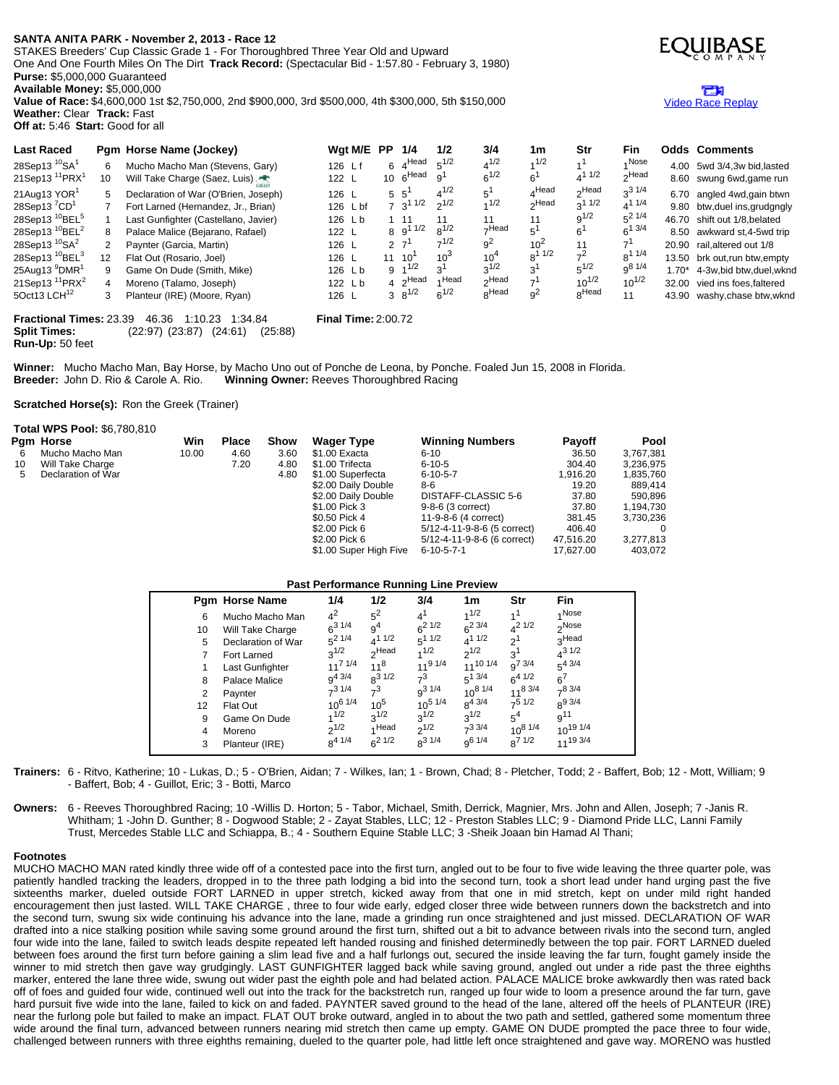## **SANTA ANITA PARK - November 2, 2013 - Race 12**

STAKES Breeders' Cup Classic Grade 1 - For Thoroughbred Three Year Old and Upward One And One Fourth Miles On The Dirt **Track Record:** (Spectacular Bid - 1:57.80 - February 3, 1980) **Purse:** \$5,000,000 Guaranteed

**Available Money:** \$5,000,000

**Value of Race:** \$4,600,000 1st \$2,750,000, 2nd \$900,000, 3rd \$500,000, 4th \$300,000, 5th \$150,000 **Weather:** Clear **Track:** Fast



**Fractional Times:** 23.39 46.36 1:10.23 1:34.84 **Final Time:** 2:00.72 **Split Times:** (22:97) (23:87) (24:61) (25:88) **Run-Up:** 50 feet

Winner: Mucho Macho Man, Bay Horse, by Macho Uno out of Ponche de Leona, by Ponche. Foaled Jun 15, 2008 in Florida.<br>Breeder: John D. Rio & Carole A. Rio. Winning Owner: Reeves Thoroughbred Racing **Winning Owner: Reeves Thoroughbred Racing** 

**Scratched Horse(s):** Ron the Greek (Trainer)

|    | Total WPS Pool: \$6,780,810 |       |       |             |                        |                             |               |             |
|----|-----------------------------|-------|-------|-------------|------------------------|-----------------------------|---------------|-------------|
|    | Pam Horse                   | Win   | Place | <b>Show</b> | <b>Wager Type</b>      | <b>Winning Numbers</b>      | <b>Pavoff</b> | <b>Pool</b> |
| 6  | Mucho Macho Man             | 10.00 | 4.60  | 3.60        | \$1.00 Exacta          | $6 - 10$                    | 36.50         | 3,767,381   |
| 10 | Will Take Charge            |       | 7.20  | 4.80        | \$1.00 Trifecta        | $6 - 10 - 5$                | 304.40        | 3,236,975   |
| 5  | Declaration of War          |       |       | 4.80        | \$1.00 Superfecta      | $6 - 10 - 5 - 7$            | 1.916.20      | 1,835,760   |
|    |                             |       |       |             | \$2.00 Daily Double    | 8-6                         | 19.20         | 889.414     |
|    |                             |       |       |             | \$2.00 Daily Double    | DISTAFF-CLASSIC 5-6         | 37.80         | 590,896     |
|    |                             |       |       |             | \$1.00 Pick 3          | 9-8-6 (3 correct)           | 37.80         | 1,194,730   |
|    |                             |       |       |             | \$0.50 Pick 4          | 11-9-8-6 (4 correct)        | 381.45        | 3.730.236   |
|    |                             |       |       |             | \$2.00 Pick 6          | 5/12-4-11-9-8-6 (5 correct) | 406.40        |             |
|    |                             |       |       |             | \$2.00 Pick 6          | 5/12-4-11-9-8-6 (6 correct) | 47.516.20     | 3,277,813   |
|    |                             |       |       |             | \$1.00 Super High Five | $6 - 10 - 5 - 7 - 1$        | 17.627.00     | 403.072     |

## **Past Performance Running Line Preview**

|    | <b>Pgm Horse Name</b> | 1/4            | 1/2              | ັ<br>3/4       | 1m              | Str            | Fin               |
|----|-----------------------|----------------|------------------|----------------|-----------------|----------------|-------------------|
| 6  | Mucho Macho Man       | $4^2$          | $5^2$            | $4^1$          | 1/2             | 1 <sup>1</sup> | 4 Nose            |
| 10 | Will Take Charge      | $6^{31/4}$     | 9 <sup>4</sup>   | $6^{21/2}$     | $6^{2}$ 3/4     | $4^{21/2}$     | <sub>2</sub> Nose |
| 5  | Declaration of War    | $5^2$ 1/4      | $4^{11/2}$       | $5^{11/2}$     | $4^{11/2}$      | -ი1            | <sub>2</sub> Head |
|    | Fort Larned           | $2^{1/2}$      | <del>H</del> ead | 1/2            | $2^{1/2}$       | 3 <sup>1</sup> | $4^{31/2}$        |
|    | Last Gunfighter       | $11^{7}$ $1/4$ | $11^8$           | $11^{91/4}$    | $11^{10}$ $1/4$ | $q^{7}$ 3/4    | $5^{4}$ 3/4       |
| 8  | Palace Malice         | $q^{4}$ 3/4    | $8^{31/2}$       | $7^3$          | $5^{1}$ 3/4     | $6^{4}$ $1/2$  | $6^7$             |
| 2  | Paynter               | $7^3$ 1/4      | $7^3$            | $q^{3}$ 1/4    | $10^{8}$ $1/4$  | $11^8$ 3/4     | $7^{8}3/4$        |
| 12 | Flat Out              | $10^{6}$ $1/4$ | $10^{5}$         | $10^{5}$ $1/4$ | $R^{4}$ 3/4     | 751/2          | $R^{9}$ 3/4       |
| 9  | Game On Dude          | 1/2            | $3^{1/2}$        | $3^{1/2}$      | $3^{1/2}$       | $5^4$          | q <sup>11</sup>   |
| 4  | Moreno                | $2^{1/2}$      | 4 Head           | $2^{1/2}$      | $7^3$ 3/4       | $10^{8}$ $1/4$ | $10^{19}$ $1/4$   |
| 3  | Planteur (IRE)        | $8^{4}$ 1/4    | $6^{21/2}$       | $8^{31/4}$     | $q^{6}$ 1/4     | $R^{71/2}$     | $11^{19}$ 3/4     |

**Trainers:** 6 - Ritvo, Katherine; 10 - Lukas, D.; 5 - O'Brien, Aidan; 7 - Wilkes, Ian; 1 - Brown, Chad; 8 - Pletcher, Todd; 2 - Baffert, Bob; 12 - Mott, William; 9 - Baffert, Bob; 4 - Guillot, Eric; 3 - Botti, Marco

**Owners:** 6 - Reeves Thoroughbred Racing; 10 -Willis D. Horton; 5 - Tabor, Michael, Smith, Derrick, Magnier, Mrs. John and Allen, Joseph; 7 -Janis R. Whitham; 1 -John D. Gunther; 8 - Dogwood Stable; 2 - Zayat Stables, LLC; 12 - Preston Stables LLC; 9 - Diamond Pride LLC, Lanni Family Trust, Mercedes Stable LLC and Schiappa, B.; 4 - Southern Equine Stable LLC; 3 -Sheik Joaan bin Hamad Al Thani;

## **Footnotes**

MUCHO MACHO MAN rated kindly three wide off of a contested pace into the first turn, angled out to be four to five wide leaving the three quarter pole, was patiently handled tracking the leaders, dropped in to the three path lodging a bid into the second turn, took a short lead under hand urging past the five sixteenths marker, dueled outside FORT LARNED in upper stretch, kicked away from that one in mid stretch, kept on under mild right handed encouragement then just lasted. WILL TAKE CHARGE , three to four wide early, edged closer three wide between runners down the backstretch and into the second turn, swung six wide continuing his advance into the lane, made a grinding run once straightened and just missed. DECLARATION OF WAR drafted into a nice stalking position while saving some ground around the first turn, shifted out a bit to advance between rivals into the second turn, angled four wide into the lane, failed to switch leads despite repeated left handed rousing and finished determinedly between the top pair. FORT LARNED dueled between foes around the first turn before gaining a slim lead five and a half furlongs out, secured the inside leaving the far turn, fought gamely inside the winner to mid stretch then gave way grudgingly. LAST GUNFIGHTER lagged back while saving ground, angled out under a ride past the three eighths marker, entered the lane three wide, swung out wider past the eighth pole and had belated action. PALACE MALICE broke awkwardly then was rated back off of foes and guided four wide, continued well out into the track for the backstretch run, ranged up four wide to loom a presence around the far turn, gave hard pursuit five wide into the lane, failed to kick on and faded. PAYNTER saved ground to the head of the lane, altered off the heels of PLANTEUR (IRE) near the furlong pole but failed to make an impact. FLAT OUT broke outward, angled in to about the two path and settled, gathered some momentum three wide around the final turn, advanced between runners nearing mid stretch then came up empty. GAME ON DUDE prompted the pace three to four wide, challenged between runners with three eighths remaining, dueled to the quarter pole, had little left once straightened and gave way. MORENO was hustled



## æ Video Race [Replay](http://www.equibase.com/premium/eqpRaceVideo.cfm?TRK=SA&CY=USA&DATE=11/02/2013&RACE=12&DAY=D&site=CHRR)